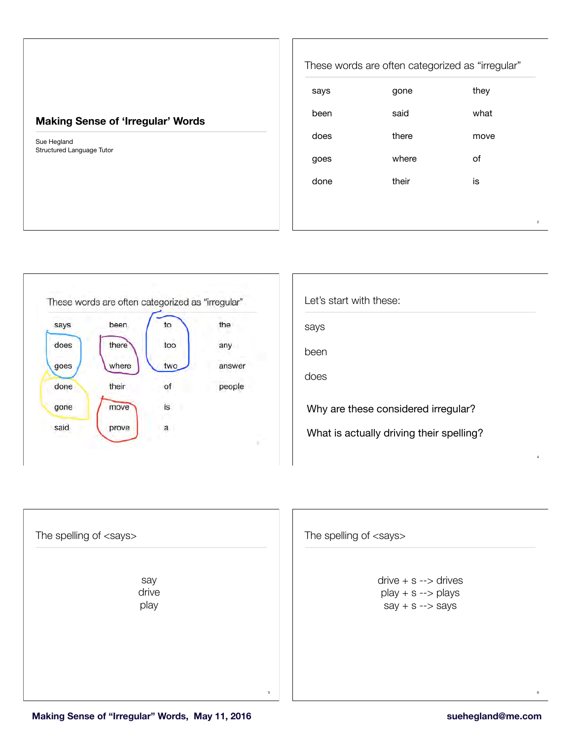# **Making Sense of 'Irregular' Words**

Sue Hegland Structured Language Tutor

|      | These words are often categorized as "irregular" |                |
|------|--------------------------------------------------|----------------|
| says | gone                                             | they           |
| been | said                                             | what           |
| does | there                                            | move           |
| goes | where                                            | οf             |
| done | their                                            | is             |
|      |                                                  |                |
|      |                                                  | $\overline{c}$ |



| Let's start with these:                                                         |   |
|---------------------------------------------------------------------------------|---|
| says                                                                            |   |
| heen                                                                            |   |
| does                                                                            |   |
| Why are these considered irregular?<br>What is actually driving their spelling? |   |
|                                                                                 | 4 |

| The spelling of <says></says> |                      |   |
|-------------------------------|----------------------|---|
|                               | say<br>drive<br>play |   |
|                               |                      |   |
|                               |                      | 5 |

The spelling of <says>  $drive + s - >$  drives  $play + s - > plays$  $say + s \rightarrow says$ 

6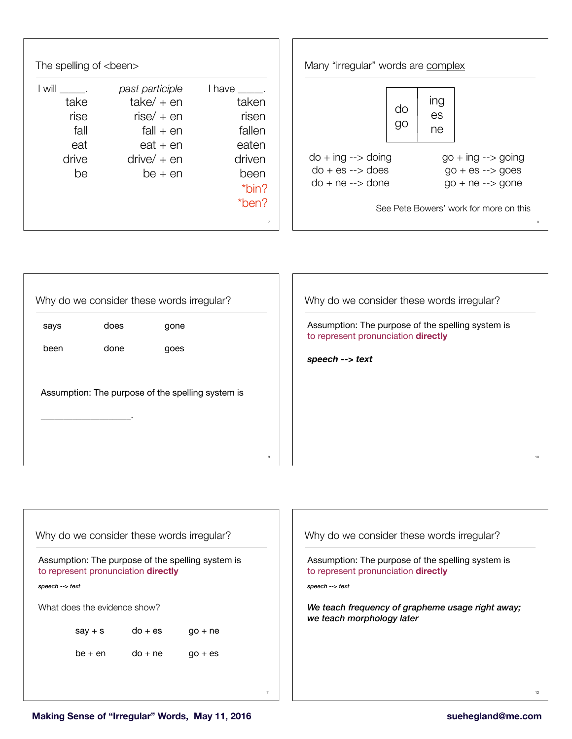| The spelling of <been></been>                      |                                                                                                           |                                                                                  | Many "irregular" words are complex                                                                   |                                                                                                      |
|----------------------------------------------------|-----------------------------------------------------------------------------------------------------------|----------------------------------------------------------------------------------|------------------------------------------------------------------------------------------------------|------------------------------------------------------------------------------------------------------|
| will<br>take<br>rise<br>fall<br>eat<br>drive<br>be | past participle<br>$take/+ en$<br>$rise/ + en$<br>$fall + en$<br>$eat + en$<br>$drive/ + en$<br>$be + en$ | I have ______.<br>taken<br>risen<br>fallen<br>eaten<br>driven<br>been<br>$*bin?$ | do<br>go<br>$do + ing \rightarrow doing$<br>$do + es \rightarrow does$<br>$do + ne \rightarrow done$ | ing<br>es<br>ne<br>$go + ing \rightarrow going$<br>$go + es -- > goes$<br>$go + ne \rightarrow gone$ |
|                                                    |                                                                                                           | *ben?                                                                            |                                                                                                      | See Pete Bowers' work for more on this                                                               |
|                                                    |                                                                                                           | $\overline{7}$                                                                   |                                                                                                      |                                                                                                      |

|              |              | Why do we consider these words irregular?         |   | Why do we consider these words irregular?                                                                   |
|--------------|--------------|---------------------------------------------------|---|-------------------------------------------------------------------------------------------------------------|
| says<br>been | does<br>done | gone<br>goes                                      |   | Assumption: The purpose of the spelling system is<br>to represent pronunciation directly<br>speech --> text |
|              |              | Assumption: The purpose of the spelling system is |   |                                                                                                             |
|              |              |                                                   | 9 | 10                                                                                                          |

|                                                                                          |               |           |                                                                                          | Why do we consider these words irregular?                                     |  |  |
|------------------------------------------------------------------------------------------|---------------|-----------|------------------------------------------------------------------------------------------|-------------------------------------------------------------------------------|--|--|
| Why do we consider these words irregular?                                                |               |           |                                                                                          |                                                                               |  |  |
| Assumption: The purpose of the spelling system is<br>to represent pronunciation directly |               |           | Assumption: The purpose of the spelling system is<br>to represent pronunciation directly |                                                                               |  |  |
| speech $\rightarrow$ text                                                                |               |           |                                                                                          | speech $\rightarrow$ text                                                     |  |  |
| What does the evidence show?                                                             |               |           |                                                                                          | We teach frequency of grapheme usage right away;<br>we teach morphology later |  |  |
| $say + s$                                                                                | $d\circ$ + es | $qo + ne$ |                                                                                          |                                                                               |  |  |
| $be + en$                                                                                | $do + ne$     | $qo + es$ |                                                                                          |                                                                               |  |  |
|                                                                                          |               |           |                                                                                          |                                                                               |  |  |
|                                                                                          |               |           | 11                                                                                       | 12                                                                            |  |  |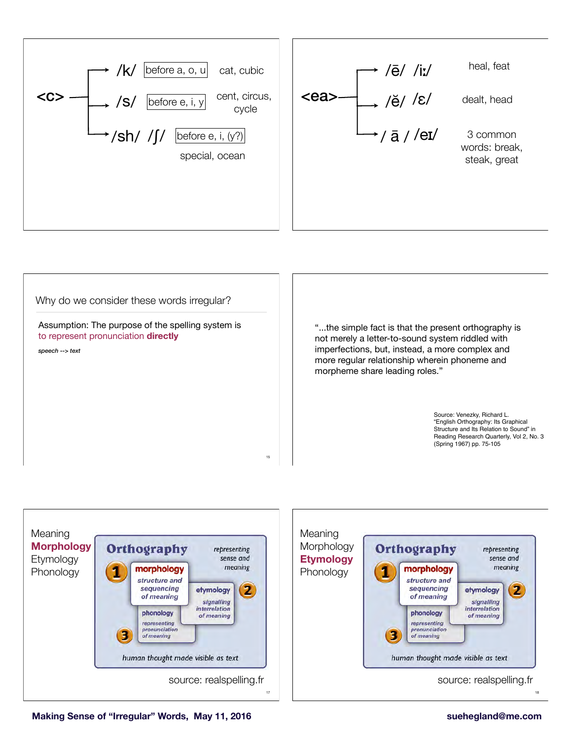







#### **Making Sense of "Irregular" Words, May 11, 2016** Suehegland@me.com **suehegland@me.com**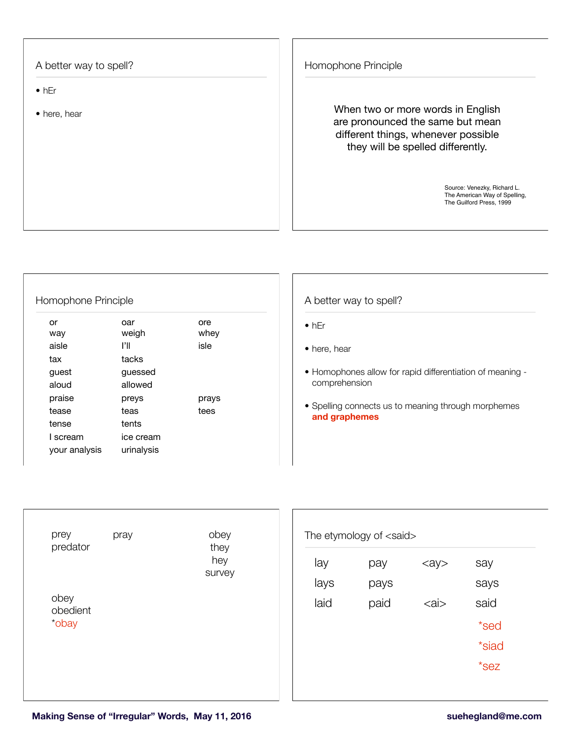A better way to spell?

• hEr

• here, hear

# Homophone Principle

When two or more words in English are pronounced the same but mean different things, whenever possible they will be spelled differently.

Source: Venezky, Richard L. The American Way of Spelling, The Guilford Press, 1999

| or            | oar        | ore   |
|---------------|------------|-------|
| way           | weigh      | whey  |
| aisle         | ľШ         | isle  |
| tax           | tacks      |       |
| guest         | guessed    |       |
| aloud         | allowed    |       |
| praise        | preys      | prays |
| tease         | teas       | tees  |
| tense         | tents      |       |
| I scream      | ice cream  |       |
| your analysis | urinalysis |       |

## A better way to spell?

- hEr
- here, hear
- Homophones allow for rapid differentiation of meaning comprehension
- Spelling connects us to meaning through morphemes **and graphemes**

| obey                  |
|-----------------------|
| they<br>hey<br>survey |
|                       |
|                       |

| lay  | pay  | $<\alpha y$ | say     |
|------|------|-------------|---------|
| lays | pays |             | says    |
| laid | paid | <ai></ai>   | said    |
|      |      |             | *sed    |
|      |      |             | *siad   |
|      |      |             | $*$ sez |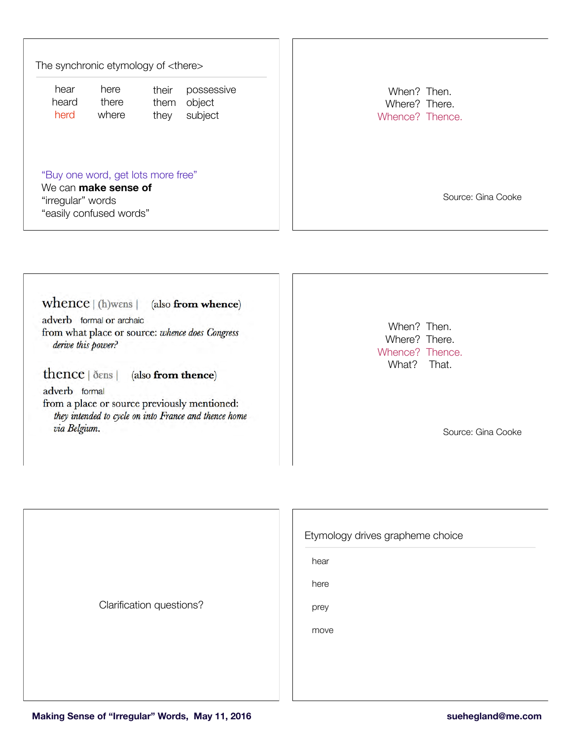### The synchronic etymology of <there>

| hear  | here  | their possessive |
|-------|-------|------------------|
| heard | there | them object      |
| herd  | where | they subject     |

## "Buy one word, get lots more free"

We can **make sense of** "irregular" words "easily confused words"

When? Then. Where? There. Whence? Thence.

Source: Gina Cooke

# whence | (h) wens | (also from whence)

adverb formal or archaic from what place or source: whence does Congress derive this power?

# thence | ðɛns | (also from thence)

adverb formal from a place or source previously mentioned: they intended to cycle on into France and thence home via Belgium.

When? Then. Where? There. Whence? Thence. What? That.

Source: Gina Cooke

Clarification questions?

Etymology drives grapheme choice

hear

here

prey

move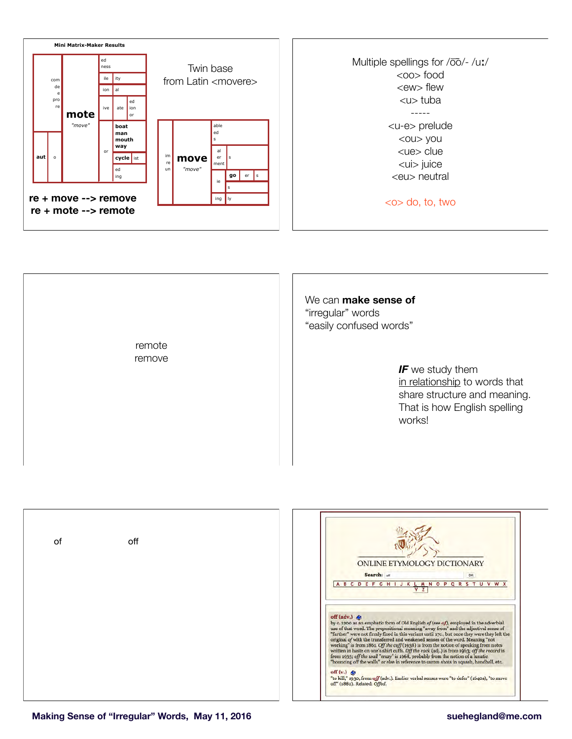

*IF* we study them in relationship to words that share structure and meaning. That is how English spelling works!

| of | off | ONLINE ETYMOLOGY DICTIONARY                                                                                                                                                                                                                                                                                                                                                                                                                                                                                                                                                                                                                                                                                                                      |
|----|-----|--------------------------------------------------------------------------------------------------------------------------------------------------------------------------------------------------------------------------------------------------------------------------------------------------------------------------------------------------------------------------------------------------------------------------------------------------------------------------------------------------------------------------------------------------------------------------------------------------------------------------------------------------------------------------------------------------------------------------------------------------|
|    |     | Search: off<br><b>OK</b><br>A B C D E F G H I J K L M N O P Q R S T U V W X                                                                                                                                                                                                                                                                                                                                                                                                                                                                                                                                                                                                                                                                      |
|    |     | off (adv.)<br>by c. 1200 as an emphatic form of Old English of (see $qf$ ), employed in the adverbial<br>use of that word. The prepositional meaning "away from" and the adjectival sense of<br>"farther" were not firmly fixed in this variant until 17c., but once they were they left the<br>original of with the transferred and weakened senses of the word. Meaning "not<br>working" is from 1861. Off the cuff (1938) is from the notion of speaking from notes<br>written in haste on one's shirt cuffs. Off the rack (adj.) is from 1963; off the record is<br>from 1933; off the wall "crazy" is 1968, probably from the notion of a lunatic<br>"bouncing off the walls" or else in reference to carom shots in squash, handball, etc. |
|    |     | off $(v_0)$<br>"to kill," 1930, from off (adv.). Earlier verbal senses were "to defer" (1640s), "to move<br>off" (1882). Related: Offed.                                                                                                                                                                                                                                                                                                                                                                                                                                                                                                                                                                                                         |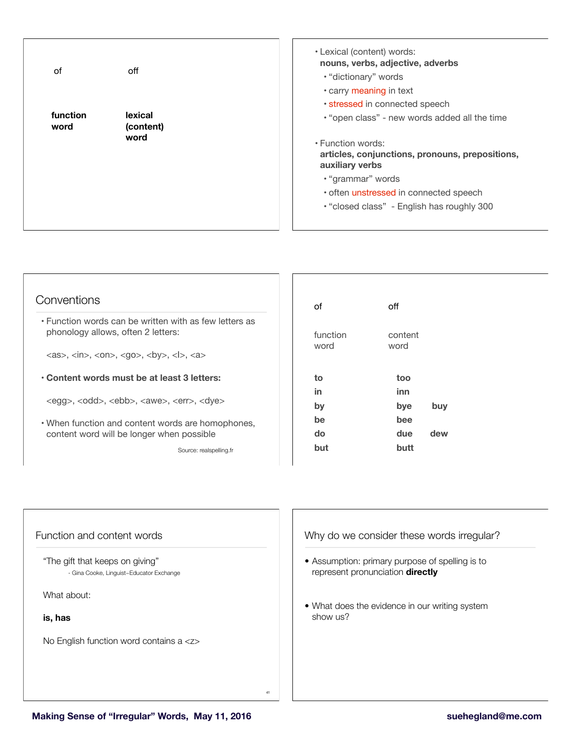| of       | off       | • Lexical (content) words:<br>nouns, verbs, adjective, adverbs<br>· "dictionary" words<br>. carry meaning in text                                                                                    |
|----------|-----------|------------------------------------------------------------------------------------------------------------------------------------------------------------------------------------------------------|
| function | lexical   | · stressed in connected speech                                                                                                                                                                       |
| word     | (content) | • "open class" - new words added all the time                                                                                                                                                        |
|          | word      | • Function words:<br>articles, conjunctions, pronouns, prepositions,<br>auxiliary verbs<br>• "grammar" words<br>• often unstressed in connected speech<br>• "closed class" - English has roughly 300 |

| Conventions                                                                                                                                                                       |                         |
|-----------------------------------------------------------------------------------------------------------------------------------------------------------------------------------|-------------------------|
| • Function words can be written with as few letters as<br>phonology allows, often 2 letters:                                                                                      |                         |
| $\langle$ as>, $\langle$ in>, $\langle$ on>, $\langle$ go>, $\langle$ by>, $\langle$ l>, $\langle$ a>                                                                             |                         |
| . Content words must be at least 3 letters:                                                                                                                                       |                         |
| $\langle \text{eqq}\rangle$ , $\langle \text{odd}\rangle$ , $\langle \text{ebb}\rangle$ , $\langle \text{awe}\rangle$ , $\langle \text{err}\rangle$ , $\langle \text{dye}\rangle$ |                         |
| • When function and content words are homophones,<br>content word will be longer when possible                                                                                    |                         |
|                                                                                                                                                                                   | Source: realspelling.fr |

| off             |     |
|-----------------|-----|
| content<br>word |     |
| too             |     |
| inn             |     |
| bye             | buy |
| bee             |     |
| due             | dew |
| butt            |     |
|                 |     |



Why do we consider these words irregular?

- Assumption: primary purpose of spelling is to represent pronunciation **directly**
- What does the evidence in our writing system